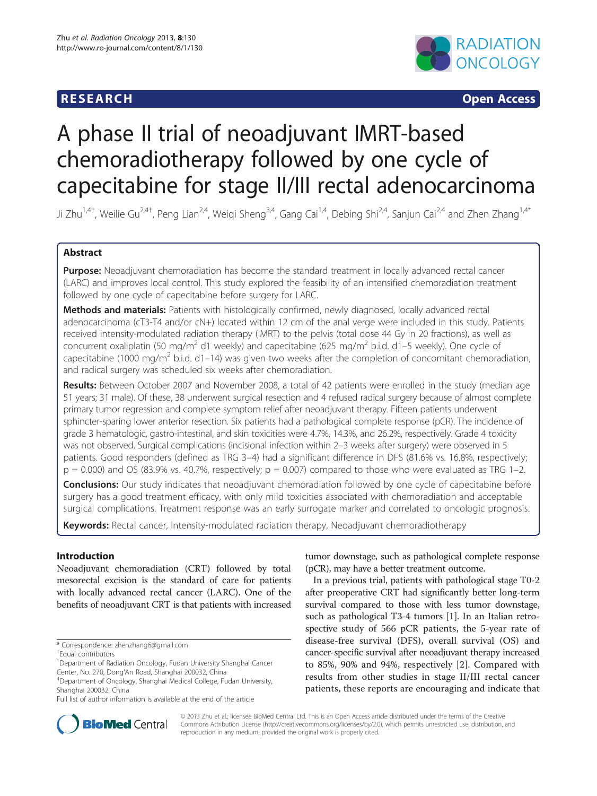# **RESEARCH RESEARCH CONSUMING ACCESS**



# A phase II trial of neoadjuvant IMRT-based chemoradiotherapy followed by one cycle of capecitabine for stage II/III rectal adenocarcinoma

Ji Zhu<sup>1,4†</sup>, Weilie Gu<sup>2,4†</sup>, Peng Lian<sup>2,4</sup>, Weiqi Sheng<sup>3,4</sup>, Gang Cai<sup>1,4</sup>, Debing Shi<sup>2,4</sup>, Sanjun Cai<sup>2,4</sup> and Zhen Zhang<sup>1,4\*</sup>

# Abstract

Purpose: Neoadjuvant chemoradiation has become the standard treatment in locally advanced rectal cancer (LARC) and improves local control. This study explored the feasibility of an intensified chemoradiation treatment followed by one cycle of capecitabine before surgery for LARC.

Methods and materials: Patients with histologically confirmed, newly diagnosed, locally advanced rectal adenocarcinoma (cT3-T4 and/or cN+) located within 12 cm of the anal verge were included in this study. Patients received intensity-modulated radiation therapy (IMRT) to the pelvis (total dose 44 Gy in 20 fractions), as well as concurrent oxaliplatin (50 mg/m<sup>2</sup> d1 weekly) and capecitabine (625 mg/m<sup>2</sup> b.i.d. d1–5 weekly). One cycle of capecitabine (1000 mg/m<sup>2</sup> b.i.d. d1–14) was given two weeks after the completion of concomitant chemoradiation, and radical surgery was scheduled six weeks after chemoradiation.

Results: Between October 2007 and November 2008, a total of 42 patients were enrolled in the study (median age 51 years; 31 male). Of these, 38 underwent surgical resection and 4 refused radical surgery because of almost complete primary tumor regression and complete symptom relief after neoadjuvant therapy. Fifteen patients underwent sphincter-sparing lower anterior resection. Six patients had a pathological complete response (pCR). The incidence of grade 3 hematologic, gastro-intestinal, and skin toxicities were 4.7%, 14.3%, and 26.2%, respectively. Grade 4 toxicity was not observed. Surgical complications (incisional infection within 2–3 weeks after surgery) were observed in 5 patients. Good responders (defined as TRG 3-4) had a significant difference in DFS (81.6% vs. 16.8%, respectively;  $p = 0.000$  and OS (83.9% vs. 40.7%, respectively;  $p = 0.007$ ) compared to those who were evaluated as TRG 1-2.

**Conclusions:** Our study indicates that neoadjuvant chemoradiation followed by one cycle of capecitabine before surgery has a good treatment efficacy, with only mild toxicities associated with chemoradiation and acceptable surgical complications. Treatment response was an early surrogate marker and correlated to oncologic prognosis.

Keywords: Rectal cancer, Intensity-modulated radiation therapy, Neoadjuvant chemoradiotherapy

# Introduction

Neoadjuvant chemoradiation (CRT) followed by total mesorectal excision is the standard of care for patients with locally advanced rectal cancer (LARC). One of the benefits of neoadjuvant CRT is that patients with increased

<sup>1</sup>Department of Radiation Oncology, Fudan University Shanghai Cancer Center, No. 270, Dong'An Road, Shanghai 200032, China <sup>4</sup>

tumor downstage, such as pathological complete response (pCR), may have a better treatment outcome.

In a previous trial, patients with pathological stage T0-2 after preoperative CRT had significantly better long-term survival compared to those with less tumor downstage, such as pathological T3-4 tumors [\[1](#page-6-0)]. In an Italian retrospective study of 566 pCR patients, the 5-year rate of disease-free survival (DFS), overall survival (OS) and cancer-specific survival after neoadjuvant therapy increased to 85%, 90% and 94%, respectively [[2\]](#page-6-0). Compared with results from other studies in stage II/III rectal cancer patients, these reports are encouraging and indicate that



© 2013 Zhu et al.; licensee BioMed Central Ltd. This is an Open Access article distributed under the terms of the Creative Commons Attribution License [\(http://creativecommons.org/licenses/by/2.0\)](http://creativecommons.org/licenses/by/2.0), which permits unrestricted use, distribution, and reproduction in any medium, provided the original work is properly cited.

<sup>\*</sup> Correspondence: [zhenzhang6@gmail.com](mailto:zhenzhang6@gmail.com) †

Equal contributors

Department of Oncology, Shanghai Medical College, Fudan University, Shanghai 200032, China

Full list of author information is available at the end of the article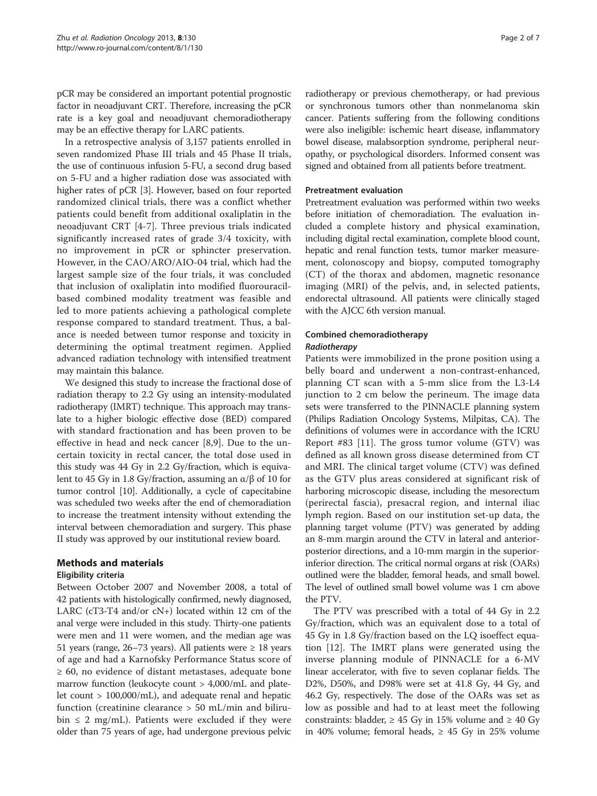pCR may be considered an important potential prognostic factor in neoadjuvant CRT. Therefore, increasing the pCR rate is a key goal and neoadjuvant chemoradiotherapy may be an effective therapy for LARC patients.

In a retrospective analysis of 3,157 patients enrolled in seven randomized Phase III trials and 45 Phase II trials, the use of continuous infusion 5-FU, a second drug based on 5-FU and a higher radiation dose was associated with higher rates of pCR [[3\]](#page-6-0). However, based on four reported randomized clinical trials, there was a conflict whether patients could benefit from additional oxaliplatin in the neoadjuvant CRT [[4-7](#page-6-0)]. Three previous trials indicated significantly increased rates of grade 3/4 toxicity, with no improvement in pCR or sphincter preservation. However, in the CAO/ARO/AIO-04 trial, which had the largest sample size of the four trials, it was concluded that inclusion of oxaliplatin into modified fluorouracilbased combined modality treatment was feasible and led to more patients achieving a pathological complete response compared to standard treatment. Thus, a balance is needed between tumor response and toxicity in determining the optimal treatment regimen. Applied advanced radiation technology with intensified treatment may maintain this balance.

We designed this study to increase the fractional dose of radiation therapy to 2.2 Gy using an intensity-modulated radiotherapy (IMRT) technique. This approach may translate to a higher biologic effective dose (BED) compared with standard fractionation and has been proven to be effective in head and neck cancer [\[8,9\]](#page-6-0). Due to the uncertain toxicity in rectal cancer, the total dose used in this study was 44 Gy in 2.2 Gy/fraction, which is equivalent to 45 Gy in 1.8 Gy/fraction, assuming an  $\alpha$ /β of 10 for tumor control [\[10\]](#page-6-0). Additionally, a cycle of capecitabine was scheduled two weeks after the end of chemoradiation to increase the treatment intensity without extending the interval between chemoradiation and surgery. This phase II study was approved by our institutional review board.

# Methods and materials

## Eligibility criteria

Between October 2007 and November 2008, a total of 42 patients with histologically confirmed, newly diagnosed, LARC ( $cT3-T4$  and/or  $cN+$ ) located within 12 cm of the anal verge were included in this study. Thirty-one patients were men and 11 were women, and the median age was 51 years (range, 26–73 years). All patients were  $\geq 18$  years of age and had a Karnofsky Performance Status score of ≥ 60, no evidence of distant metastases, adequate bone marrow function (leukocyte count > 4,000/mL and platelet count > 100,000/mL), and adequate renal and hepatic function (creatinine clearance > 50 mL/min and bilirubin  $\leq$  2 mg/mL). Patients were excluded if they were older than 75 years of age, had undergone previous pelvic radiotherapy or previous chemotherapy, or had previous or synchronous tumors other than nonmelanoma skin cancer. Patients suffering from the following conditions were also ineligible: ischemic heart disease, inflammatory bowel disease, malabsorption syndrome, peripheral neuropathy, or psychological disorders. Informed consent was signed and obtained from all patients before treatment.

### Pretreatment evaluation

Pretreatment evaluation was performed within two weeks before initiation of chemoradiation. The evaluation included a complete history and physical examination, including digital rectal examination, complete blood count, hepatic and renal function tests, tumor marker measurement, colonoscopy and biopsy, computed tomography (CT) of the thorax and abdomen, magnetic resonance imaging (MRI) of the pelvis, and, in selected patients, endorectal ultrasound. All patients were clinically staged with the AJCC 6th version manual.

# Combined chemoradiotherapy

# Radiotherapy

Patients were immobilized in the prone position using a belly board and underwent a non-contrast-enhanced, planning CT scan with a 5-mm slice from the L3-L4 junction to 2 cm below the perineum. The image data sets were transferred to the PINNACLE planning system (Philips Radiation Oncology Systems, Milpitas, CA). The definitions of volumes were in accordance with the ICRU Report #83 [[11\]](#page-6-0). The gross tumor volume (GTV) was defined as all known gross disease determined from CT and MRI. The clinical target volume (CTV) was defined as the GTV plus areas considered at significant risk of harboring microscopic disease, including the mesorectum (perirectal fascia), presacral region, and internal iliac lymph region. Based on our institution set-up data, the planning target volume (PTV) was generated by adding an 8-mm margin around the CTV in lateral and anteriorposterior directions, and a 10-mm margin in the superiorinferior direction. The critical normal organs at risk (OARs) outlined were the bladder, femoral heads, and small bowel. The level of outlined small bowel volume was 1 cm above the PTV.

The PTV was prescribed with a total of 44 Gy in 2.2 Gy/fraction, which was an equivalent dose to a total of 45 Gy in 1.8 Gy/fraction based on the LQ isoeffect equation [[12\]](#page-6-0). The IMRT plans were generated using the inverse planning module of PINNACLE for a 6-MV linear accelerator, with five to seven coplanar fields. The D2%, D50%, and D98% were set at 41.8 Gy, 44 Gy, and 46.2 Gy, respectively. The dose of the OARs was set as low as possible and had to at least meet the following constraints: bladder,  $\geq 45$  Gy in 15% volume and  $\geq 40$  Gy in 40% volume; femoral heads,  $\geq$  45 Gy in 25% volume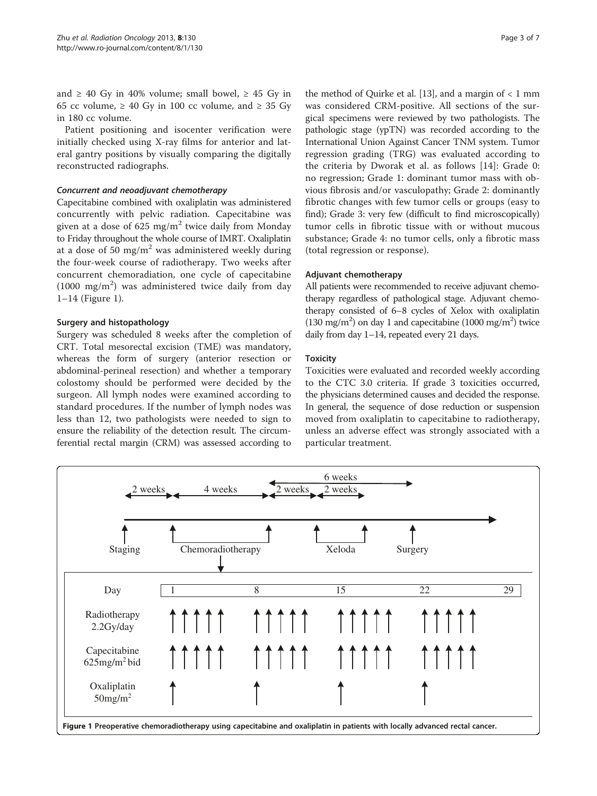and  $\geq$  40 Gy in 40% volume; small bowel,  $\geq$  45 Gy in 65 cc volume,  $\geq 40$  Gy in 100 cc volume, and  $\geq 35$  Gy in 180 cc volume.

Patient positioning and isocenter verification were initially checked using X-ray films for anterior and lateral gantry positions by visually comparing the digitally reconstructed radiographs.

#### Concurrent and neoadjuvant chemotherapy

Capecitabine combined with oxaliplatin was administered concurrently with pelvic radiation. Capecitabine was given at a dose of 625 mg/m<sup>2</sup> twice daily from Monday to Friday throughout the whole course of IMRT. Oxaliplatin at a dose of 50 mg/m<sup>2</sup> was administered weekly during the four-week course of radiotherapy. Two weeks after concurrent chemoradiation, one cycle of capecitabine (1000 mg/m<sup>2</sup>) was administered twice daily from day 1–14 (Figure 1).

#### Surgery and histopathology

Surgery was scheduled 8 weeks after the completion of CRT. Total mesorectal excision (TME) was mandatory, whereas the form of surgery (anterior resection or abdominal-perineal resection) and whether a temporary colostomy should be performed were decided by the surgeon. All lymph nodes were examined according to standard procedures. If the number of lymph nodes was less than 12, two pathologists were needed to sign to ensure the reliability of the detection result. The circumferential rectal margin (CRM) was assessed according to

the method of Quirke et al. [\[13\]](#page-6-0), and a margin of  $< 1$  mm was considered CRM-positive. All sections of the surgical specimens were reviewed by two pathologists. The pathologic stage (ypTN) was recorded according to the International Union Against Cancer TNM system. Tumor regression grading (TRG) was evaluated according to the criteria by Dworak et al. as follows [[14](#page-6-0)]: Grade 0: no regression; Grade 1: dominant tumor mass with obvious fibrosis and/or vasculopathy; Grade 2: dominantly fibrotic changes with few tumor cells or groups (easy to find); Grade 3: very few (difficult to find microscopically) tumor cells in fibrotic tissue with or without mucous substance; Grade 4: no tumor cells, only a fibrotic mass (total regression or response).

### Adjuvant chemotherapy

All patients were recommended to receive adjuvant chemotherapy regardless of pathological stage. Adjuvant chemotherapy consisted of 6–8 cycles of Xelox with oxaliplatin (130 mg/m<sup>2</sup>) on day 1 and capecitabine (1000 mg/m<sup>2</sup>) twice daily from day 1–14, repeated every 21 days.

### **Toxicity**

Toxicities were evaluated and recorded weekly according to the CTC 3.0 criteria. If grade 3 toxicities occurred, the physicians determined causes and decided the response. In general, the sequence of dose reduction or suspension moved from oxaliplatin to capecitabine to radiotherapy, unless an adverse effect was strongly associated with a particular treatment.

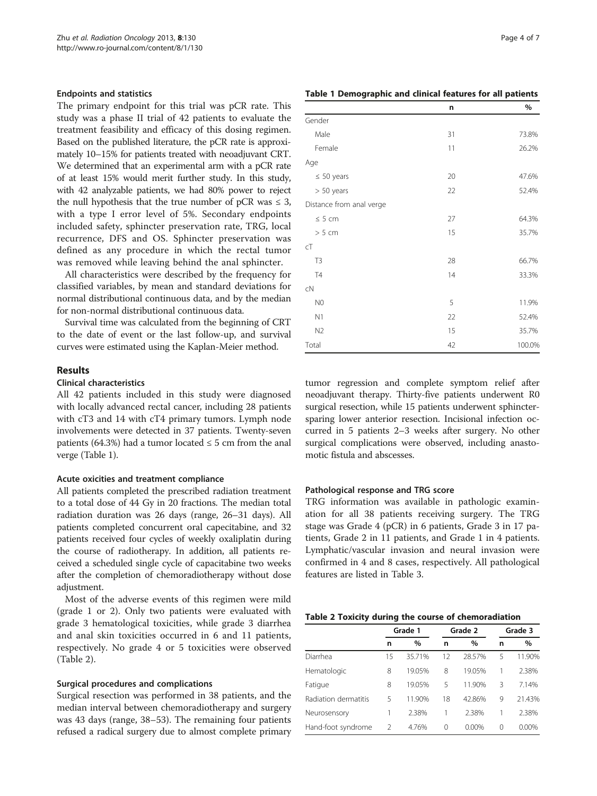#### Endpoints and statistics

The primary endpoint for this trial was pCR rate. This study was a phase II trial of 42 patients to evaluate the treatment feasibility and efficacy of this dosing regimen. Based on the published literature, the pCR rate is approximately 10–15% for patients treated with neoadjuvant CRT. We determined that an experimental arm with a pCR rate of at least 15% would merit further study. In this study, with 42 analyzable patients, we had 80% power to reject the null hypothesis that the true number of pCR was  $\leq$  3, with a type I error level of 5%. Secondary endpoints included safety, sphincter preservation rate, TRG, local recurrence, DFS and OS. Sphincter preservation was defined as any procedure in which the rectal tumor was removed while leaving behind the anal sphincter.

All characteristics were described by the frequency for classified variables, by mean and standard deviations for normal distributional continuous data, and by the median for non-normal distributional continuous data.

Survival time was calculated from the beginning of CRT to the date of event or the last follow-up, and survival curves were estimated using the Kaplan-Meier method.

#### Results

## Clinical characteristics

All 42 patients included in this study were diagnosed with locally advanced rectal cancer, including 28 patients with cT3 and 14 with cT4 primary tumors. Lymph node involvements were detected in 37 patients. Twenty-seven patients (64.3%) had a tumor located  $\leq$  5 cm from the anal verge (Table 1).

#### Acute oxicities and treatment compliance

All patients completed the prescribed radiation treatment to a total dose of 44 Gy in 20 fractions. The median total radiation duration was 26 days (range, 26–31 days). All patients completed concurrent oral capecitabine, and 32 patients received four cycles of weekly oxaliplatin during the course of radiotherapy. In addition, all patients received a scheduled single cycle of capacitabine two weeks after the completion of chemoradiotherapy without dose adjustment.

Most of the adverse events of this regimen were mild (grade 1 or 2). Only two patients were evaluated with grade 3 hematological toxicities, while grade 3 diarrhea and anal skin toxicities occurred in 6 and 11 patients, respectively. No grade 4 or 5 toxicities were observed (Table 2).

#### Surgical procedures and complications

Surgical resection was performed in 38 patients, and the median interval between chemoradiotherapy and surgery was 43 days (range, 38–53). The remaining four patients refused a radical surgery due to almost complete primary

| Table 1 Demographic and clinical features for all patients |  |  |
|------------------------------------------------------------|--|--|
|------------------------------------------------------------|--|--|

|                          | n  | %      |
|--------------------------|----|--------|
| Gender                   |    |        |
| Male                     | 31 | 73.8%  |
| Female                   | 11 | 26.2%  |
| Age                      |    |        |
| $\leq 50$ years          | 20 | 47.6%  |
| $> 50$ years             | 22 | 52.4%  |
| Distance from anal verge |    |        |
| $\leq 5$ cm              | 27 | 64.3%  |
| > 5 cm                   | 15 | 35.7%  |
| cT                       |    |        |
| T <sub>3</sub>           | 28 | 66.7%  |
| T4                       | 14 | 33.3%  |
| cN                       |    |        |
| N <sub>0</sub>           | 5  | 11.9%  |
| N1                       | 22 | 52.4%  |
| N <sub>2</sub>           | 15 | 35.7%  |
| Total                    | 42 | 100.0% |

tumor regression and complete symptom relief after neoadjuvant therapy. Thirty-five patients underwent R0 surgical resection, while 15 patients underwent sphinctersparing lower anterior resection. Incisional infection occurred in 5 patients 2–3 weeks after surgery. No other surgical complications were observed, including anastomotic fistula and abscesses.

#### Pathological response and TRG score

TRG information was available in pathologic examination for all 38 patients receiving surgery. The TRG stage was Grade 4 (pCR) in 6 patients, Grade 3 in 17 patients, Grade 2 in 11 patients, and Grade 1 in 4 patients. Lymphatic/vascular invasion and neural invasion were confirmed in 4 and 8 cases, respectively. All pathological features are listed in Table [3.](#page-4-0)

#### Table 2 Toxicity during the course of chemoradiation

|                      | Grade 1       |        | Grade 2  |        | Grade 3 |        |
|----------------------|---------------|--------|----------|--------|---------|--------|
|                      | n             | $\%$   | n        | $\%$   | n       | $\%$   |
| Diarrhea             | 15            | 35.71% | 12       | 28.57% | 5       | 11.90% |
| Hematologic          | 8             | 19.05% | 8        | 19.05% |         | 2.38%  |
| Fatique              | 8             | 19.05% | 5        | 11.90% | 3       | 7.14%  |
| Radiation dermatitis | 5             | 11.90% | 18       | 42.86% | 9       | 21.43% |
| Neurosensory         |               | 2.38%  | 1        | 2.38%  |         | 2.38%  |
| Hand-foot syndrome   | $\mathcal{P}$ | 4.76%  | $\Omega$ | 0.00%  | 0       | 0.00%  |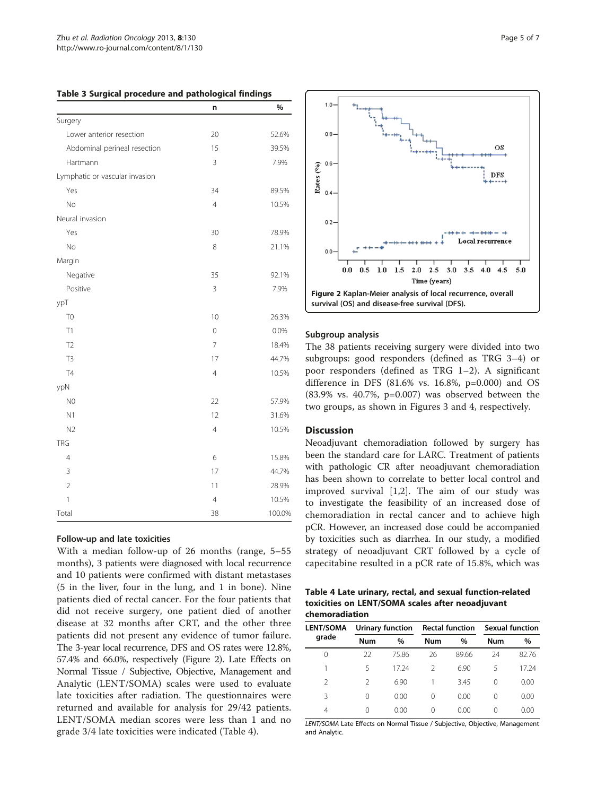<span id="page-4-0"></span>

| Table 3 Surgical procedure and pathological findings |                |        |  |
|------------------------------------------------------|----------------|--------|--|
|                                                      | n              | %      |  |
| Surgery                                              |                |        |  |
| Lower anterior resection                             | 20             | 52.6%  |  |
| Abdominal perineal resection                         | 15             | 39.5%  |  |
| Hartmann                                             | 3              | 7.9%   |  |
| Lymphatic or vascular invasion                       |                |        |  |
| Yes                                                  | 34             | 89.5%  |  |
| No                                                   | 4              | 10.5%  |  |
| Neural invasion                                      |                |        |  |
| Yes                                                  | 30             | 78.9%  |  |
| <b>No</b>                                            | 8              | 21.1%  |  |
| Margin                                               |                |        |  |
| Negative                                             | 35             | 92.1%  |  |
| Positive                                             | $\overline{3}$ | 7.9%   |  |
| ypT                                                  |                |        |  |
| T <sub>0</sub>                                       | 10             | 26.3%  |  |
| T1                                                   | $\mathbf 0$    | 0.0%   |  |
| T <sub>2</sub>                                       | $\overline{7}$ | 18.4%  |  |
| T <sub>3</sub>                                       | 17             | 44.7%  |  |
| <b>T4</b>                                            | 4              | 10.5%  |  |
| ypN                                                  |                |        |  |
| N <sub>0</sub>                                       | 22             | 57.9%  |  |
| N1                                                   | 12             | 31.6%  |  |
| N <sub>2</sub>                                       | 4              | 10.5%  |  |
| <b>TRG</b>                                           |                |        |  |
| 4                                                    | 6              | 15.8%  |  |
| 3                                                    | 17             | 44.7%  |  |
| $\overline{2}$                                       | 11             | 28.9%  |  |
| 1                                                    | 4              | 10.5%  |  |
| Total                                                | 38             | 100.0% |  |

### Follow-up and late toxicities

With a median follow-up of 26 months (range, 5–55 months), 3 patients were diagnosed with local recurrence and 10 patients were confirmed with distant metastases (5 in the liver, four in the lung, and 1 in bone). Nine patients died of rectal cancer. For the four patients that did not receive surgery, one patient died of another disease at 32 months after CRT, and the other three patients did not present any evidence of tumor failure. The 3-year local recurrence, DFS and OS rates were 12.8%, 57.4% and 66.0%, respectively (Figure 2). Late Effects on Normal Tissue / Subjective, Objective, Management and Analytic (LENT/SOMA) scales were used to evaluate late toxicities after radiation. The questionnaires were returned and available for analysis for 29/42 patients. LENT/SOMA median scores were less than 1 and no grade 3/4 late toxicities were indicated (Table 4).



#### Subgroup analysis

The 38 patients receiving surgery were divided into two subgroups: good responders (defined as TRG 3–4) or poor responders (defined as TRG 1–2). A significant difference in DFS (81.6% vs. 16.8%, p=0.000) and OS (83.9% vs. 40.7%, p=0.007) was observed between the two groups, as shown in Figures [3](#page-5-0) and [4](#page-5-0), respectively.

#### **Discussion**

Neoadjuvant chemoradiation followed by surgery has been the standard care for LARC. Treatment of patients with pathologic CR after neoadjuvant chemoradiation has been shown to correlate to better local control and improved survival [\[1,2](#page-6-0)]. The aim of our study was to investigate the feasibility of an increased dose of chemoradiation in rectal cancer and to achieve high pCR. However, an increased dose could be accompanied by toxicities such as diarrhea. In our study, a modified strategy of neoadjuvant CRT followed by a cycle of capecitabine resulted in a pCR rate of 15.8%, which was

Table 4 Late urinary, rectal, and sexual function-related toxicities on LENT/SOMA scales after neoadjuvant chemoradiation

| <b>LENT/SOMA</b><br>grade | Urinary function |       | <b>Rectal function</b> |       | <b>Sexual function</b> |       |
|---------------------------|------------------|-------|------------------------|-------|------------------------|-------|
|                           | <b>Num</b>       | $\%$  | <b>Num</b>             | $\%$  | <b>Num</b>             | $\%$  |
| 0                         | 22               | 75.86 | 26                     | 89.66 | 24                     | 82.76 |
|                           | 5                | 17 24 | $\mathcal{L}$          | 6.90  | 5                      | 17 24 |
| 2                         | 2                | 6.90  |                        | 3.45  | 0                      | 0.00  |
| 3                         | 0                | 0.00  | 0                      | 0.00  | 0                      | 0.00  |
| 4                         | Ω                | 0.00  | 0                      | 0.00  | 0                      | 0.00  |

LENT/SOMA Late Effects on Normal Tissue / Subjective, Objective, Management and Analytic.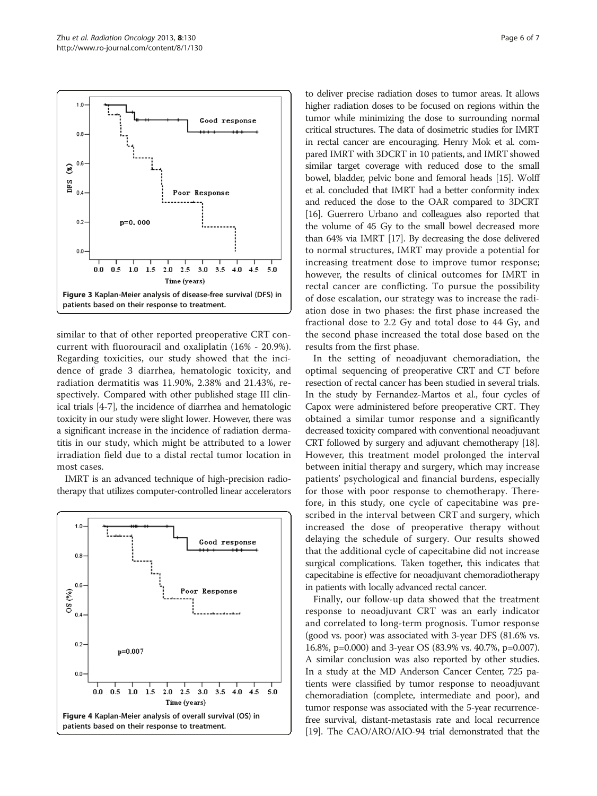<span id="page-5-0"></span>

similar to that of other reported preoperative CRT concurrent with fluorouracil and oxaliplatin (16% - 20.9%). Regarding toxicities, our study showed that the incidence of grade 3 diarrhea, hematologic toxicity, and radiation dermatitis was 11.90%, 2.38% and 21.43%, respectively. Compared with other published stage III clinical trials [\[4-7](#page-6-0)], the incidence of diarrhea and hematologic toxicity in our study were slight lower. However, there was a significant increase in the incidence of radiation dermatitis in our study, which might be attributed to a lower irradiation field due to a distal rectal tumor location in most cases.

IMRT is an advanced technique of high-precision radiotherapy that utilizes computer-controlled linear accelerators



to deliver precise radiation doses to tumor areas. It allows higher radiation doses to be focused on regions within the tumor while minimizing the dose to surrounding normal critical structures. The data of dosimetric studies for IMRT in rectal cancer are encouraging. Henry Mok et al. compared IMRT with 3DCRT in 10 patients, and IMRT showed similar target coverage with reduced dose to the small bowel, bladder, pelvic bone and femoral heads [[15](#page-6-0)]. Wolff et al. concluded that IMRT had a better conformity index and reduced the dose to the OAR compared to 3DCRT [[16](#page-6-0)]. Guerrero Urbano and colleagues also reported that the volume of 45 Gy to the small bowel decreased more than 64% via IMRT [\[17\]](#page-6-0). By decreasing the dose delivered to normal structures, IMRT may provide a potential for increasing treatment dose to improve tumor response; however, the results of clinical outcomes for IMRT in rectal cancer are conflicting. To pursue the possibility of dose escalation, our strategy was to increase the radiation dose in two phases: the first phase increased the fractional dose to 2.2 Gy and total dose to 44 Gy, and the second phase increased the total dose based on the results from the first phase.

In the setting of neoadjuvant chemoradiation, the optimal sequencing of preoperative CRT and CT before resection of rectal cancer has been studied in several trials. In the study by Fernandez-Martos et al., four cycles of Capox were administered before preoperative CRT. They obtained a similar tumor response and a significantly decreased toxicity compared with conventional neoadjuvant CRT followed by surgery and adjuvant chemotherapy [\[18](#page-6-0)]. However, this treatment model prolonged the interval between initial therapy and surgery, which may increase patients' psychological and financial burdens, especially for those with poor response to chemotherapy. Therefore, in this study, one cycle of capecitabine was prescribed in the interval between CRT and surgery, which increased the dose of preoperative therapy without delaying the schedule of surgery. Our results showed that the additional cycle of capecitabine did not increase surgical complications. Taken together, this indicates that capecitabine is effective for neoadjuvant chemoradiotherapy in patients with locally advanced rectal cancer.

Finally, our follow-up data showed that the treatment response to neoadjuvant CRT was an early indicator and correlated to long-term prognosis. Tumor response (good vs. poor) was associated with 3-year DFS (81.6% vs. 16.8%, p=0.000) and 3-year OS (83.9% vs. 40.7%, p=0.007). A similar conclusion was also reported by other studies. In a study at the MD Anderson Cancer Center, 725 patients were classified by tumor response to neoadjuvant chemoradiation (complete, intermediate and poor), and tumor response was associated with the 5-year recurrencefree survival, distant-metastasis rate and local recurrence [[19](#page-6-0)]. The CAO/ARO/AIO-94 trial demonstrated that the